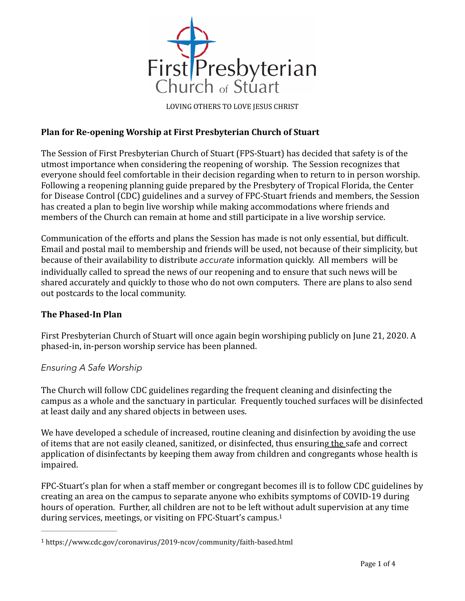

LOVING OTHERS TO LOVE JESUS CHRIST

## **Plan for Re-opening Worship at First Presbyterian Church of Stuart**

The Session of First Presbyterian Church of Stuart (FPS-Stuart) has decided that safety is of the utmost importance when considering the reopening of worship. The Session recognizes that everyone should feel comfortable in their decision regarding when to return to in person worship. Following a reopening planning guide prepared by the Presbytery of Tropical Florida, the Center for Disease Control (CDC) guidelines and a survey of FPC-Stuart friends and members, the Session has created a plan to begin live worship while making accommodations where friends and members of the Church can remain at home and still participate in a live worship service.

Communication of the efforts and plans the Session has made is not only essential, but difficult. Email and postal mail to membership and friends will be used, not because of their simplicity, but because of their availability to distribute *accurate* information quickly. All members will be individually called to spread the news of our reopening and to ensure that such news will be shared accurately and quickly to those who do not own computers. There are plans to also send out postcards to the local community.

#### **The Phased-In Plan**

First Presbyterian Church of Stuart will once again begin worshiping publicly on June 21, 2020. A phased-in, in-person worship service has been planned.

#### *Ensuring A Safe Worship*

The Church will follow CDC guidelines regarding the frequent cleaning and disinfecting the campus as a whole and the sanctuary in particular. Frequently touched surfaces will be disinfected at least daily and any shared objects in between uses.

We have developed a schedule of increased, routine cleaning and disinfection by avoiding the use of items that are not easily cleaned, sanitized, or disinfected, thus ensuring the safe and correct application of disinfectants by keeping them away from children and congregants whose health is impaired. 

FPC-Stuart's plan for when a staff member or congregant becomes ill is to follow CDC guidelines by creating an area on the campus to separate anyone who exhibits symptoms of COVID-19 during hours of operation. Further, all children are not to be left without adult supervision at any time during services, meetings, or visiting on FPC-Stuart's campus.<sup>1</sup>

<span id="page-0-1"></span><span id="page-0-0"></span>https://www.cdc.gov/coronavirus/2019-ncov/community/faith-based.html [1](#page-0-1)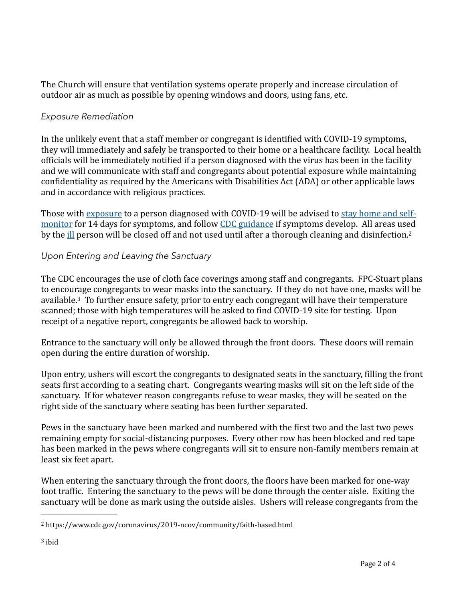The Church will ensure that ventilation systems operate properly and increase circulation of outdoor air as much as possible by opening windows and doors, using fans, etc.

## *Exposure Remediation*

In the unlikely event that a staff member or congregant is identified with COVID-19 symptoms, they will immediately and safely be transported to their home or a healthcare facility. Local health officials will be immediately notified if a person diagnosed with the virus has been in the facility and we will communicate with staff and congregants about potential exposure while maintaining confidentiality as required by the Americans with Disabilities Act (ADA) or other applicable laws and in accordance with religious practices.

<span id="page-1-2"></span>Those with exposure to a person diagnosed with COVID-19 will be advised to stay home and selfmonitor for 14 days for symptoms, and follow CDC guidance if symptoms develop. All areas used by the ill person will be closed off and not used until after a thorough cleaning and disinfection.<sup>2</sup>

# *Upon Entering and Leaving the Sanctuary*

<span id="page-1-3"></span>The CDC encourages the use of cloth face coverings among staff and congregants. FPC-Stuart plans to encourage congregants to wear masks into the sanctuary. If they do not have one, masks will be available.<sup>[3](#page-1-1)</sup> To further ensure safety, prior to entry each congregant will have their temperature scanned; those with high temperatures will be asked to find COVID-19 site for testing. Upon receipt of a negative report, congregants be allowed back to worship.

Entrance to the sanctuary will only be allowed through the front doors. These doors will remain open during the entire duration of worship.

Upon entry, ushers will escort the congregants to designated seats in the sanctuary, filling the front seats first according to a seating chart. Congregants wearing masks will sit on the left side of the sanctuary. If for whatever reason congregants refuse to wear masks, they will be seated on the right side of the sanctuary where seating has been further separated.

Pews in the sanctuary have been marked and numbered with the first two and the last two pews remaining empty for social-distancing purposes. Every other row has been blocked and red tape has been marked in the pews where congregants will sit to ensure non-family members remain at least six feet apart.

When entering the sanctuary through the front doors, the floors have been marked for one-way foot traffic. Entering the sanctuary to the pews will be done through the center aisle. Exiting the sanctuary will be done as mark using the outside aisles. Ushers will release congregants from the

<span id="page-1-1"></span><span id="page-1-0"></span>https://www.cdc.gov/coronavirus/2019-ncov/community/faith-based.html [2](#page-1-2)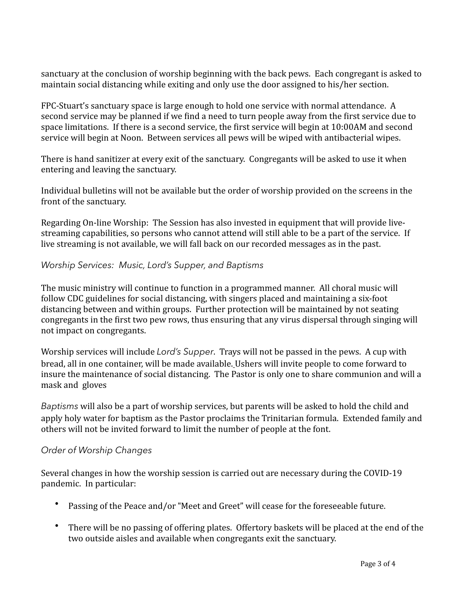sanctuary at the conclusion of worship beginning with the back pews. Each congregant is asked to maintain social distancing while exiting and only use the door assigned to his/her section.

FPC-Stuart's sanctuary space is large enough to hold one service with normal attendance. A second service may be planned if we find a need to turn people away from the first service due to space limitations. If there is a second service, the first service will begin at 10:00AM and second service will begin at Noon. Between services all pews will be wiped with antibacterial wipes.

There is hand sanitizer at every exit of the sanctuary. Congregants will be asked to use it when entering and leaving the sanctuary.

Individual bulletins will not be available but the order of worship provided on the screens in the front of the sanctuary.

Regarding On-line Worship: The Session has also invested in equipment that will provide livestreaming capabilities, so persons who cannot attend will still able to be a part of the service. If live streaming is not available, we will fall back on our recorded messages as in the past.

*Worship Services: Music, Lord's Supper, and Baptisms* 

The music ministry will continue to function in a programmed manner. All choral music will follow CDC guidelines for social distancing, with singers placed and maintaining a six-foot distancing between and within groups. Further protection will be maintained by not seating congregants in the first two pew rows, thus ensuring that any virus dispersal through singing will not impact on congregants.

Worship services will include *Lord's Supper*. Trays will not be passed in the pews. A cup with bread, all in one container, will be made available. Ushers will invite people to come forward to insure the maintenance of social distancing. The Pastor is only one to share communion and will a mask and gloves

*Baptisms* will also be a part of worship services, but parents will be asked to hold the child and apply holy water for baptism as the Pastor proclaims the Trinitarian formula. Extended family and others will not be invited forward to limit the number of people at the font.

## *Order of Worship Changes*

Several changes in how the worship session is carried out are necessary during the COVID-19 pandemic. In particular:

- Passing of the Peace and/or "Meet and Greet" will cease for the foreseeable future.
- There will be no passing of offering plates. Offertory baskets will be placed at the end of the two outside aisles and available when congregants exit the sanctuary.